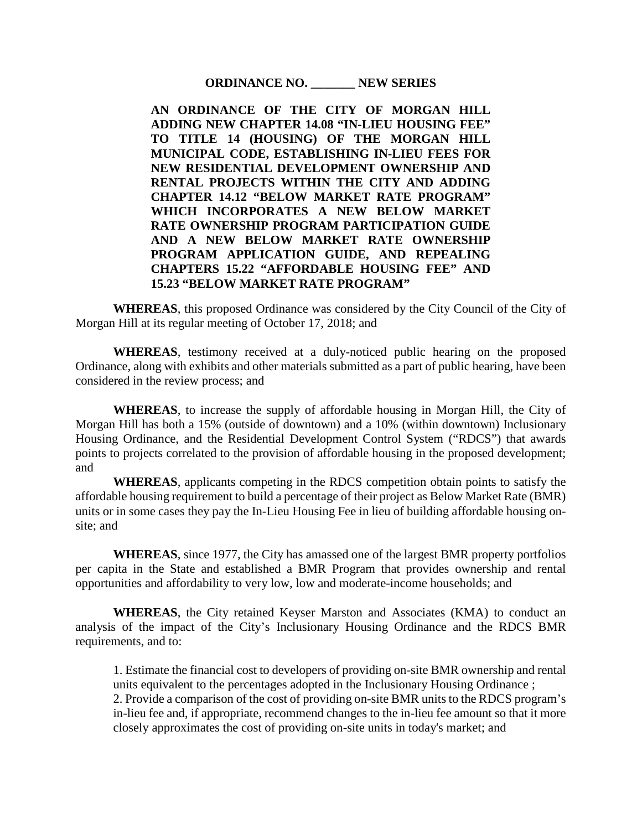**ORDINANCE NO. \_\_\_\_\_\_\_ NEW SERIES**

**AN ORDINANCE OF THE CITY OF MORGAN HILL ADDING NEW CHAPTER 14.08 "IN-LIEU HOUSING FEE" TO TITLE 14 (HOUSING) OF THE MORGAN HILL MUNICIPAL CODE, ESTABLISHING IN-LIEU FEES FOR NEW RESIDENTIAL DEVELOPMENT OWNERSHIP AND RENTAL PROJECTS WITHIN THE CITY AND ADDING CHAPTER 14.12 "BELOW MARKET RATE PROGRAM" WHICH INCORPORATES A NEW BELOW MARKET RATE OWNERSHIP PROGRAM PARTICIPATION GUIDE AND A NEW BELOW MARKET RATE OWNERSHIP PROGRAM APPLICATION GUIDE, AND REPEALING CHAPTERS 15.22 "AFFORDABLE HOUSING FEE" AND 15.23 "BELOW MARKET RATE PROGRAM"**

**WHEREAS**, this proposed Ordinance was considered by the City Council of the City of Morgan Hill at its regular meeting of October 17, 2018; and

**WHEREAS**, testimony received at a duly-noticed public hearing on the proposed Ordinance, along with exhibits and other materials submitted as a part of public hearing, have been considered in the review process; and

**WHEREAS**, to increase the supply of affordable housing in Morgan Hill, the City of Morgan Hill has both a 15% (outside of downtown) and a 10% (within downtown) Inclusionary Housing Ordinance, and the Residential Development Control System ("RDCS") that awards points to projects correlated to the provision of affordable housing in the proposed development; and

**WHEREAS**, applicants competing in the RDCS competition obtain points to satisfy the affordable housing requirement to build a percentage of their project as Below Market Rate (BMR) units or in some cases they pay the In-Lieu Housing Fee in lieu of building affordable housing onsite; and

**WHEREAS**, since 1977, the City has amassed one of the largest BMR property portfolios per capita in the State and established a BMR Program that provides ownership and rental opportunities and affordability to very low, low and moderate-income households; and

**WHEREAS**, the City retained Keyser Marston and Associates (KMA) to conduct an analysis of the impact of the City's Inclusionary Housing Ordinance and the RDCS BMR requirements, and to:

1. Estimate the financial cost to developers of providing on-site BMR ownership and rental units equivalent to the percentages adopted in the Inclusionary Housing Ordinance ;

2. Provide a comparison of the cost of providing on-site BMR units to the RDCS program's in-lieu fee and, if appropriate, recommend changes to the in-lieu fee amount so that it more closely approximates the cost of providing on-site units in today's market; and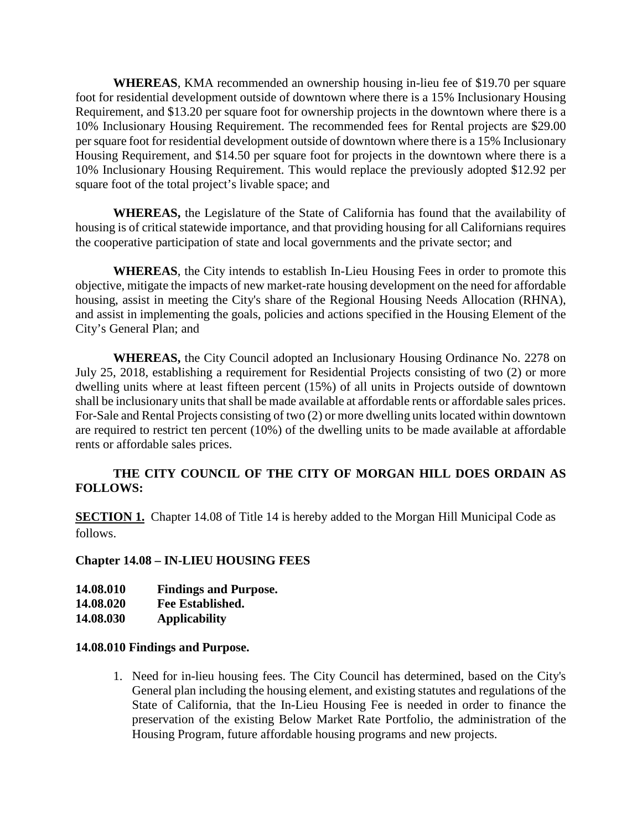**WHEREAS**, KMA recommended an ownership housing in-lieu fee of \$19.70 per square foot for residential development outside of downtown where there is a 15% Inclusionary Housing Requirement, and \$13.20 per square foot for ownership projects in the downtown where there is a 10% Inclusionary Housing Requirement. The recommended fees for Rental projects are \$29.00 per square foot for residential development outside of downtown where there is a 15% Inclusionary Housing Requirement, and \$14.50 per square foot for projects in the downtown where there is a 10% Inclusionary Housing Requirement. This would replace the previously adopted \$12.92 per square foot of the total project's livable space; and

**WHEREAS,** the Legislature of the State of California has found that the availability of housing is of critical statewide importance, and that providing housing for all Californians requires the cooperative participation of state and local governments and the private sector; and

**WHEREAS**, the City intends to establish In-Lieu Housing Fees in order to promote this objective, mitigate the impacts of new market-rate housing development on the need for affordable housing, assist in meeting the City's share of the Regional Housing Needs Allocation (RHNA), and assist in implementing the goals, policies and actions specified in the Housing Element of the City's General Plan; and

**WHEREAS,** the City Council adopted an Inclusionary Housing Ordinance No. 2278 on July 25, 2018, establishing a requirement for Residential Projects consisting of two (2) or more dwelling units where at least fifteen percent (15%) of all units in Projects outside of downtown shall be inclusionary units that shall be made available at affordable rents or affordable sales prices. For-Sale and Rental Projects consisting of two (2) or more dwelling units located within downtown are required to restrict ten percent (10%) of the dwelling units to be made available at affordable rents or affordable sales prices.

### **THE CITY COUNCIL OF THE CITY OF MORGAN HILL DOES ORDAIN AS FOLLOWS:**

**SECTION 1.** Chapter 14.08 of Title 14 is hereby added to the Morgan Hill Municipal Code as follows.

#### **Chapter 14.08 – IN-LIEU HOUSING FEES**

| 14.08.010 | <b>Findings and Purpose.</b> |
|-----------|------------------------------|
|-----------|------------------------------|

**14.08.020 Fee Established.**

**14.08.030 Applicability** 

### **14.08.010 Findings and Purpose.**

1. Need for in-lieu housing fees. The City Council has determined, based on the City's General plan including the housing element, and existing statutes and regulations of the State of California, that the In-Lieu Housing Fee is needed in order to finance the preservation of the existing Below Market Rate Portfolio, the administration of the Housing Program, future affordable housing programs and new projects.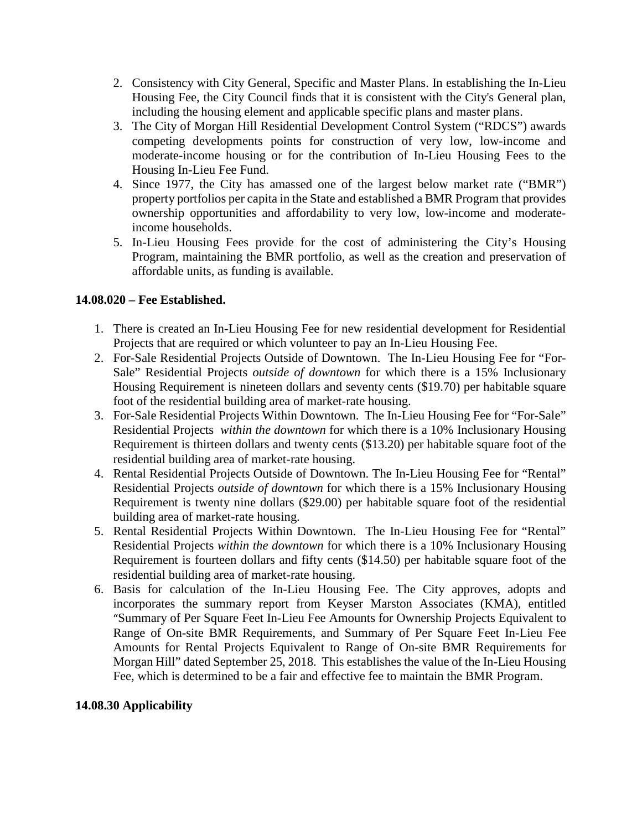- 2. Consistency with City General, Specific and Master Plans. In establishing the In-Lieu Housing Fee, the City Council finds that it is consistent with the City's General plan, including the housing element and applicable specific plans and master plans.
- 3. The City of Morgan Hill Residential Development Control System ("RDCS") awards competing developments points for construction of very low, low-income and moderate-income housing or for the contribution of In-Lieu Housing Fees to the Housing In-Lieu Fee Fund.
- 4. Since 1977, the City has amassed one of the largest below market rate ("BMR") property portfolios per capita in the State and established a BMR Program that provides ownership opportunities and affordability to very low, low-income and moderateincome households.
- 5. In-Lieu Housing Fees provide for the cost of administering the City's Housing Program, maintaining the BMR portfolio, as well as the creation and preservation of affordable units, as funding is available.

## **14.08.020 – Fee Established.**

- 1. There is created an In-Lieu Housing Fee for new residential development for Residential Projects that are required or which volunteer to pay an In-Lieu Housing Fee.
- 2. For-Sale Residential Projects Outside of Downtown. The In-Lieu Housing Fee for "For-Sale" Residential Projects *outside of downtown* for which there is a 15% Inclusionary Housing Requirement is nineteen dollars and seventy cents (\$19.70) per habitable square foot of the residential building area of market-rate housing.
- 3. For-Sale Residential Projects Within Downtown. The In-Lieu Housing Fee for "For-Sale" Residential Projects *within the downtown* for which there is a 10% Inclusionary Housing Requirement is thirteen dollars and twenty cents (\$13.20) per habitable square foot of the residential building area of market-rate housing.
- 4. Rental Residential Projects Outside of Downtown. The In-Lieu Housing Fee for "Rental" Residential Projects *outside of downtown* for which there is a 15% Inclusionary Housing Requirement is twenty nine dollars (\$29.00) per habitable square foot of the residential building area of market-rate housing.
- 5. Rental Residential Projects Within Downtown. The In-Lieu Housing Fee for "Rental" Residential Projects *within the downtown* for which there is a 10% Inclusionary Housing Requirement is fourteen dollars and fifty cents (\$14.50) per habitable square foot of the residential building area of market-rate housing.
- 6. Basis for calculation of the In-Lieu Housing Fee. The City approves, adopts and incorporates the summary report from Keyser Marston Associates (KMA), entitled "Summary of Per Square Feet In-Lieu Fee Amounts for Ownership Projects Equivalent to Range of On-site BMR Requirements, and Summary of Per Square Feet In-Lieu Fee Amounts for Rental Projects Equivalent to Range of On-site BMR Requirements for Morgan Hill" dated September 25, 2018. This establishes the value of the In-Lieu Housing Fee, which is determined to be a fair and effective fee to maintain the BMR Program.

### **14.08.30 Applicability**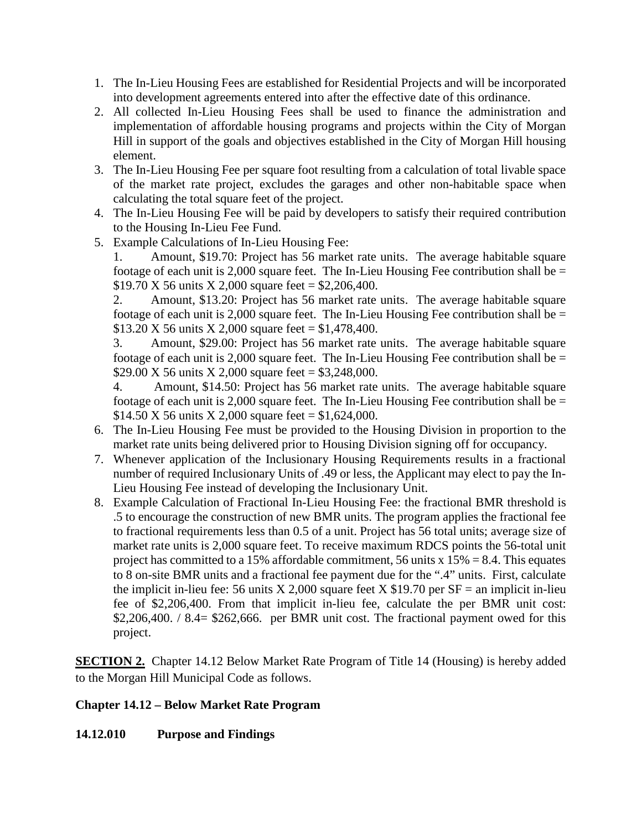- 1. The In-Lieu Housing Fees are established for Residential Projects and will be incorporated into development agreements entered into after the effective date of this ordinance.
- 2. All collected In-Lieu Housing Fees shall be used to finance the administration and implementation of affordable housing programs and projects within the City of Morgan Hill in support of the goals and objectives established in the City of Morgan Hill housing element.
- 3. The In-Lieu Housing Fee per square foot resulting from a calculation of total livable space of the market rate project, excludes the garages and other non-habitable space when calculating the total square feet of the project.
- 4. The In-Lieu Housing Fee will be paid by developers to satisfy their required contribution to the Housing In-Lieu Fee Fund.
- 5. Example Calculations of In-Lieu Housing Fee:

1. Amount, \$19.70: Project has 56 market rate units. The average habitable square footage of each unit is 2,000 square feet. The In-Lieu Housing Fee contribution shall be  $=$ \$19.70 X 56 units X 2,000 square feet = \$2,206,400.

2. Amount, \$13.20: Project has 56 market rate units. The average habitable square footage of each unit is 2,000 square feet. The In-Lieu Housing Fee contribution shall be  $=$ \$13.20 X 56 units X 2,000 square feet =  $$1,478,400$ .

3. Amount, \$29.00: Project has 56 market rate units. The average habitable square footage of each unit is 2,000 square feet. The In-Lieu Housing Fee contribution shall be  $=$ \$29.00 X 56 units X 2,000 square feet =  $$3,248,000$ .

4. Amount, \$14.50: Project has 56 market rate units. The average habitable square footage of each unit is 2,000 square feet. The In-Lieu Housing Fee contribution shall be  $=$ \$14.50 X 56 units X 2,000 square feet = \$1,624,000.

- 6. The In-Lieu Housing Fee must be provided to the Housing Division in proportion to the market rate units being delivered prior to Housing Division signing off for occupancy.
- 7. Whenever application of the Inclusionary Housing Requirements results in a fractional number of required Inclusionary Units of .49 or less, the Applicant may elect to pay the In-Lieu Housing Fee instead of developing the Inclusionary Unit.
- 8. Example Calculation of Fractional In-Lieu Housing Fee: the fractional BMR threshold is .5 to encourage the construction of new BMR units. The program applies the fractional fee to fractional requirements less than 0.5 of a unit. Project has 56 total units; average size of market rate units is 2,000 square feet. To receive maximum RDCS points the 56-total unit project has committed to a 15% affordable commitment, 56 units  $x 15% = 8.4$ . This equates to 8 on-site BMR units and a fractional fee payment due for the ".4" units. First, calculate the implicit in-lieu fee: 56 units X 2,000 square feet X \$19.70 per  $SF =$  an implicit in-lieu fee of \$2,206,400. From that implicit in-lieu fee, calculate the per BMR unit cost:  $$2,206,400. / 8.4 = $262,666.$  per BMR unit cost. The fractional payment owed for this project.

**SECTION 2.** Chapter 14.12 Below Market Rate Program of Title 14 (Housing) is hereby added to the Morgan Hill Municipal Code as follows.

### **Chapter 14.12 – Below Market Rate Program**

### **14.12.010 Purpose and Findings**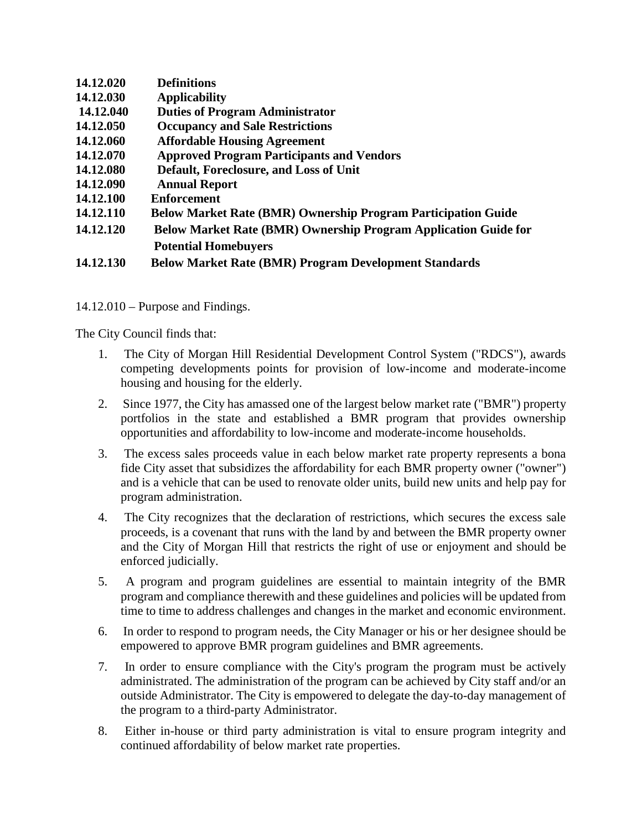| 14.12.020 | <b>Definitions</b>                                                     |
|-----------|------------------------------------------------------------------------|
|           |                                                                        |
| 14.12.030 | <b>Applicability</b>                                                   |
| 14.12.040 | <b>Duties of Program Administrator</b>                                 |
| 14.12.050 | <b>Occupancy and Sale Restrictions</b>                                 |
| 14.12.060 | <b>Affordable Housing Agreement</b>                                    |
| 14.12.070 | <b>Approved Program Participants and Vendors</b>                       |
| 14.12.080 | Default, Foreclosure, and Loss of Unit                                 |
| 14.12.090 | <b>Annual Report</b>                                                   |
| 14.12.100 | <b>Enforcement</b>                                                     |
| 14.12.110 | <b>Below Market Rate (BMR) Ownership Program Participation Guide</b>   |
| 14.12.120 | <b>Below Market Rate (BMR) Ownership Program Application Guide for</b> |
|           | <b>Potential Homebuyers</b>                                            |
| 14.12.130 | <b>Below Market Rate (BMR) Program Development Standards</b>           |

14.12.010 – Purpose and Findings.

The City Council finds that:

- 1. The City of Morgan Hill Residential Development Control System ("RDCS"), awards competing developments points for provision of low-income and moderate-income housing and housing for the elderly.
- 2. Since 1977, the City has amassed one of the largest below market rate ("BMR") property portfolios in the state and established a BMR program that provides ownership opportunities and affordability to low-income and moderate-income households.
- 3. The excess sales proceeds value in each below market rate property represents a bona fide City asset that subsidizes the affordability for each BMR property owner ("owner") and is a vehicle that can be used to renovate older units, build new units and help pay for program administration.
- 4. The City recognizes that the declaration of restrictions, which secures the excess sale proceeds, is a covenant that runs with the land by and between the BMR property owner and the City of Morgan Hill that restricts the right of use or enjoyment and should be enforced judicially.
- 5. A program and program guidelines are essential to maintain integrity of the BMR program and compliance therewith and these guidelines and policies will be updated from time to time to address challenges and changes in the market and economic environment.
- 6. In order to respond to program needs, the City Manager or his or her designee should be empowered to approve BMR program guidelines and BMR agreements.
- 7. In order to ensure compliance with the City's program the program must be actively administrated. The administration of the program can be achieved by City staff and/or an outside Administrator. The City is empowered to delegate the day-to-day management of the program to a third-party Administrator.
- 8. Either in-house or third party administration is vital to ensure program integrity and continued affordability of below market rate properties.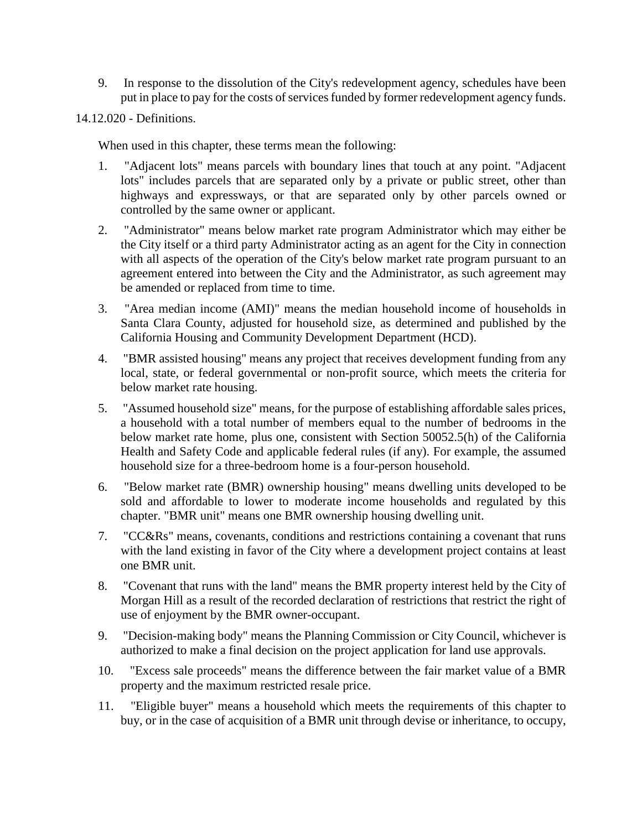- 9. In response to the dissolution of the City's redevelopment agency, schedules have been put in place to pay for the costs of services funded by former redevelopment agency funds.
- 14.12.020 Definitions.

When used in this chapter, these terms mean the following:

- 1. "Adjacent lots" means parcels with boundary lines that touch at any point. "Adjacent lots" includes parcels that are separated only by a private or public street, other than highways and expressways, or that are separated only by other parcels owned or controlled by the same owner or applicant.
- 2. "Administrator" means below market rate program Administrator which may either be the City itself or a third party Administrator acting as an agent for the City in connection with all aspects of the operation of the City's below market rate program pursuant to an agreement entered into between the City and the Administrator, as such agreement may be amended or replaced from time to time.
- 3. "Area median income (AMI)" means the median household income of households in Santa Clara County, adjusted for household size, as determined and published by the California Housing and Community Development Department (HCD).
- 4. "BMR assisted housing" means any project that receives development funding from any local, state, or federal governmental or non-profit source, which meets the criteria for below market rate housing.
- 5. "Assumed household size" means, for the purpose of establishing affordable sales prices, a household with a total number of members equal to the number of bedrooms in the below market rate home, plus one, consistent with Section 50052.5(h) of the California Health and Safety Code and applicable federal rules (if any). For example, the assumed household size for a three-bedroom home is a four-person household.
- 6. "Below market rate (BMR) ownership housing" means dwelling units developed to be sold and affordable to lower to moderate income households and regulated by this chapter. "BMR unit" means one BMR ownership housing dwelling unit.
- 7. "CC&Rs" means, covenants, conditions and restrictions containing a covenant that runs with the land existing in favor of the City where a development project contains at least one BMR unit.
- 8. "Covenant that runs with the land" means the BMR property interest held by the City of Morgan Hill as a result of the recorded declaration of restrictions that restrict the right of use of enjoyment by the BMR owner-occupant.
- 9. "Decision-making body" means the Planning Commission or City Council, whichever is authorized to make a final decision on the project application for land use approvals.
- 10. "Excess sale proceeds" means the difference between the fair market value of a BMR property and the maximum restricted resale price.
- 11. "Eligible buyer" means a household which meets the requirements of this chapter to buy, or in the case of acquisition of a BMR unit through devise or inheritance, to occupy,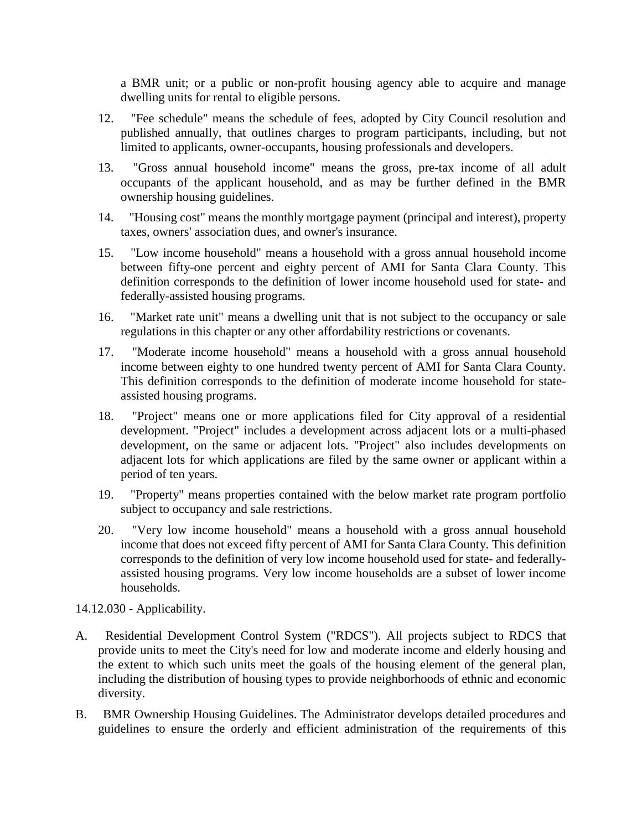a BMR unit; or a public or non-profit housing agency able to acquire and manage dwelling units for rental to eligible persons.

- 12. "Fee schedule" means the schedule of fees, adopted by City Council resolution and published annually, that outlines charges to program participants, including, but not limited to applicants, owner-occupants, housing professionals and developers.
- 13. "Gross annual household income" means the gross, pre-tax income of all adult occupants of the applicant household, and as may be further defined in the BMR ownership housing guidelines.
- 14. "Housing cost" means the monthly mortgage payment (principal and interest), property taxes, owners' association dues, and owner's insurance.
- 15. "Low income household" means a household with a gross annual household income between fifty-one percent and eighty percent of AMI for Santa Clara County. This definition corresponds to the definition of lower income household used for state- and federally-assisted housing programs.
- 16. "Market rate unit" means a dwelling unit that is not subject to the occupancy or sale regulations in this chapter or any other affordability restrictions or covenants.
- 17. "Moderate income household" means a household with a gross annual household income between eighty to one hundred twenty percent of AMI for Santa Clara County. This definition corresponds to the definition of moderate income household for stateassisted housing programs.
- 18. "Project" means one or more applications filed for City approval of a residential development. "Project" includes a development across adjacent lots or a multi-phased development, on the same or adjacent lots. "Project" also includes developments on adjacent lots for which applications are filed by the same owner or applicant within a period of ten years.
- 19. "Property" means properties contained with the below market rate program portfolio subject to occupancy and sale restrictions.
- 20. "Very low income household" means a household with a gross annual household income that does not exceed fifty percent of AMI for Santa Clara County. This definition corresponds to the definition of very low income household used for state- and federallyassisted housing programs. Very low income households are a subset of lower income households.

14.12.030 - Applicability.

- A. Residential Development Control System ("RDCS"). All projects subject to RDCS that provide units to meet the City's need for low and moderate income and elderly housing and the extent to which such units meet the goals of the housing element of the general plan, including the distribution of housing types to provide neighborhoods of ethnic and economic diversity.
- B. BMR Ownership Housing Guidelines. The Administrator develops detailed procedures and guidelines to ensure the orderly and efficient administration of the requirements of this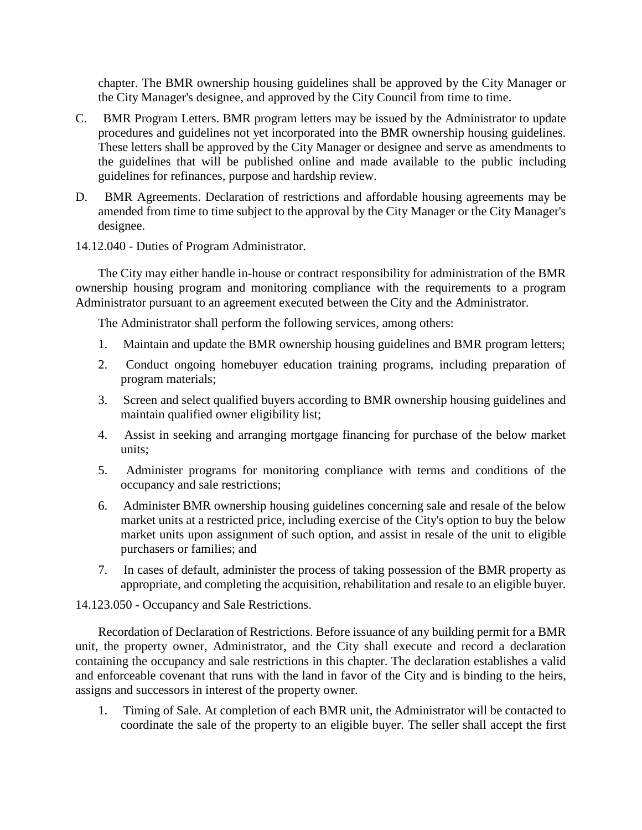chapter. The BMR ownership housing guidelines shall be approved by the City Manager or the City Manager's designee, and approved by the City Council from time to time.

- C. BMR Program Letters. BMR program letters may be issued by the Administrator to update procedures and guidelines not yet incorporated into the BMR ownership housing guidelines. These letters shall be approved by the City Manager or designee and serve as amendments to the guidelines that will be published online and made available to the public including guidelines for refinances, purpose and hardship review.
- D. BMR Agreements. Declaration of restrictions and affordable housing agreements may be amended from time to time subject to the approval by the City Manager or the City Manager's designee.
- 14.12.040 Duties of Program Administrator.

The City may either handle in-house or contract responsibility for administration of the BMR ownership housing program and monitoring compliance with the requirements to a program Administrator pursuant to an agreement executed between the City and the Administrator.

The Administrator shall perform the following services, among others:

- 1. Maintain and update the BMR ownership housing guidelines and BMR program letters;
- 2. Conduct ongoing homebuyer education training programs, including preparation of program materials;
- 3. Screen and select qualified buyers according to BMR ownership housing guidelines and maintain qualified owner eligibility list;
- 4. Assist in seeking and arranging mortgage financing for purchase of the below market units;
- 5. Administer programs for monitoring compliance with terms and conditions of the occupancy and sale restrictions;
- 6. Administer BMR ownership housing guidelines concerning sale and resale of the below market units at a restricted price, including exercise of the City's option to buy the below market units upon assignment of such option, and assist in resale of the unit to eligible purchasers or families; and
- 7. In cases of default, administer the process of taking possession of the BMR property as appropriate, and completing the acquisition, rehabilitation and resale to an eligible buyer.

14.123.050 - Occupancy and Sale Restrictions.

Recordation of Declaration of Restrictions. Before issuance of any building permit for a BMR unit, the property owner, Administrator, and the City shall execute and record a declaration containing the occupancy and sale restrictions in this chapter. The declaration establishes a valid and enforceable covenant that runs with the land in favor of the City and is binding to the heirs, assigns and successors in interest of the property owner.

1. Timing of Sale. At completion of each BMR unit, the Administrator will be contacted to coordinate the sale of the property to an eligible buyer. The seller shall accept the first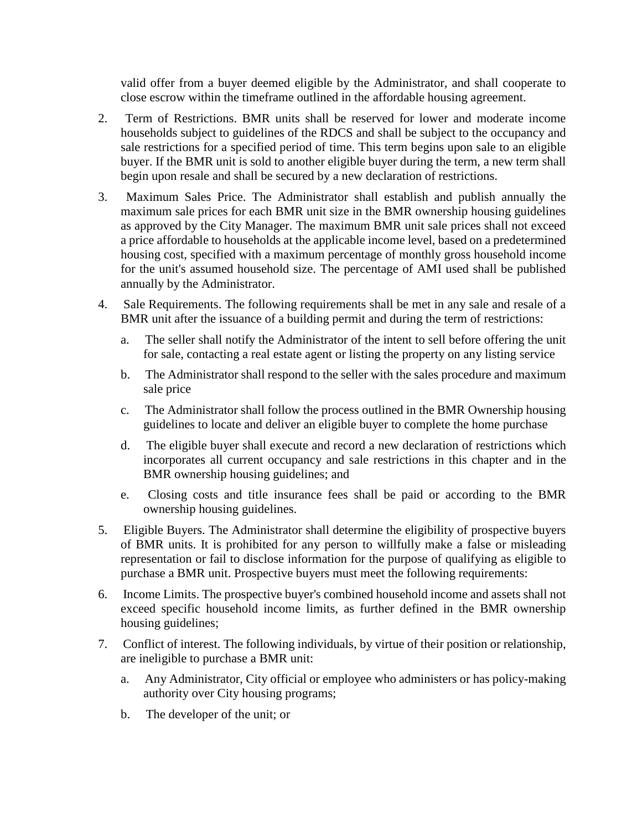valid offer from a buyer deemed eligible by the Administrator, and shall cooperate to close escrow within the timeframe outlined in the affordable housing agreement.

- 2. Term of Restrictions. BMR units shall be reserved for lower and moderate income households subject to guidelines of the RDCS and shall be subject to the occupancy and sale restrictions for a specified period of time. This term begins upon sale to an eligible buyer. If the BMR unit is sold to another eligible buyer during the term, a new term shall begin upon resale and shall be secured by a new declaration of restrictions.
- 3. Maximum Sales Price. The Administrator shall establish and publish annually the maximum sale prices for each BMR unit size in the BMR ownership housing guidelines as approved by the City Manager. The maximum BMR unit sale prices shall not exceed a price affordable to households at the applicable income level, based on a predetermined housing cost, specified with a maximum percentage of monthly gross household income for the unit's assumed household size. The percentage of AMI used shall be published annually by the Administrator.
- 4. Sale Requirements. The following requirements shall be met in any sale and resale of a BMR unit after the issuance of a building permit and during the term of restrictions:
	- a. The seller shall notify the Administrator of the intent to sell before offering the unit for sale, contacting a real estate agent or listing the property on any listing service
	- b. The Administrator shall respond to the seller with the sales procedure and maximum sale price
	- c. The Administrator shall follow the process outlined in the BMR Ownership housing guidelines to locate and deliver an eligible buyer to complete the home purchase
	- d. The eligible buyer shall execute and record a new declaration of restrictions which incorporates all current occupancy and sale restrictions in this chapter and in the BMR ownership housing guidelines; and
	- e. Closing costs and title insurance fees shall be paid or according to the BMR ownership housing guidelines.
- 5. Eligible Buyers. The Administrator shall determine the eligibility of prospective buyers of BMR units. It is prohibited for any person to willfully make a false or misleading representation or fail to disclose information for the purpose of qualifying as eligible to purchase a BMR unit. Prospective buyers must meet the following requirements:
- 6. Income Limits. The prospective buyer's combined household income and assets shall not exceed specific household income limits, as further defined in the BMR ownership housing guidelines;
- 7. Conflict of interest. The following individuals, by virtue of their position or relationship, are ineligible to purchase a BMR unit:
	- a. Any Administrator, City official or employee who administers or has policy-making authority over City housing programs;
	- b. The developer of the unit; or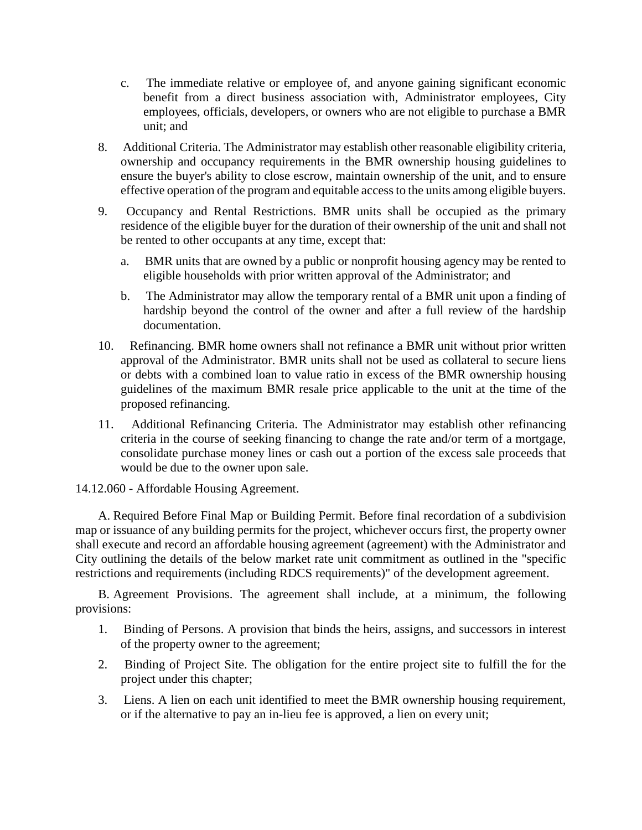- c. The immediate relative or employee of, and anyone gaining significant economic benefit from a direct business association with, Administrator employees, City employees, officials, developers, or owners who are not eligible to purchase a BMR unit; and
- 8. Additional Criteria. The Administrator may establish other reasonable eligibility criteria, ownership and occupancy requirements in the BMR ownership housing guidelines to ensure the buyer's ability to close escrow, maintain ownership of the unit, and to ensure effective operation of the program and equitable access to the units among eligible buyers.
- 9. Occupancy and Rental Restrictions. BMR units shall be occupied as the primary residence of the eligible buyer for the duration of their ownership of the unit and shall not be rented to other occupants at any time, except that:
	- a. BMR units that are owned by a public or nonprofit housing agency may be rented to eligible households with prior written approval of the Administrator; and
	- b. The Administrator may allow the temporary rental of a BMR unit upon a finding of hardship beyond the control of the owner and after a full review of the hardship documentation.
- 10. Refinancing. BMR home owners shall not refinance a BMR unit without prior written approval of the Administrator. BMR units shall not be used as collateral to secure liens or debts with a combined loan to value ratio in excess of the BMR ownership housing guidelines of the maximum BMR resale price applicable to the unit at the time of the proposed refinancing.
- 11. Additional Refinancing Criteria. The Administrator may establish other refinancing criteria in the course of seeking financing to change the rate and/or term of a mortgage, consolidate purchase money lines or cash out a portion of the excess sale proceeds that would be due to the owner upon sale.

14.12.060 - Affordable Housing Agreement.

A. Required Before Final Map or Building Permit. Before final recordation of a subdivision map or issuance of any building permits for the project, whichever occurs first, the property owner shall execute and record an affordable housing agreement (agreement) with the Administrator and City outlining the details of the below market rate unit commitment as outlined in the "specific restrictions and requirements (including RDCS requirements)" of the development agreement.

B. Agreement Provisions. The agreement shall include, at a minimum, the following provisions:

- 1. Binding of Persons. A provision that binds the heirs, assigns, and successors in interest of the property owner to the agreement;
- 2. Binding of Project Site. The obligation for the entire project site to fulfill the for the project under this chapter;
- 3. Liens. A lien on each unit identified to meet the BMR ownership housing requirement, or if the alternative to pay an in-lieu fee is approved, a lien on every unit;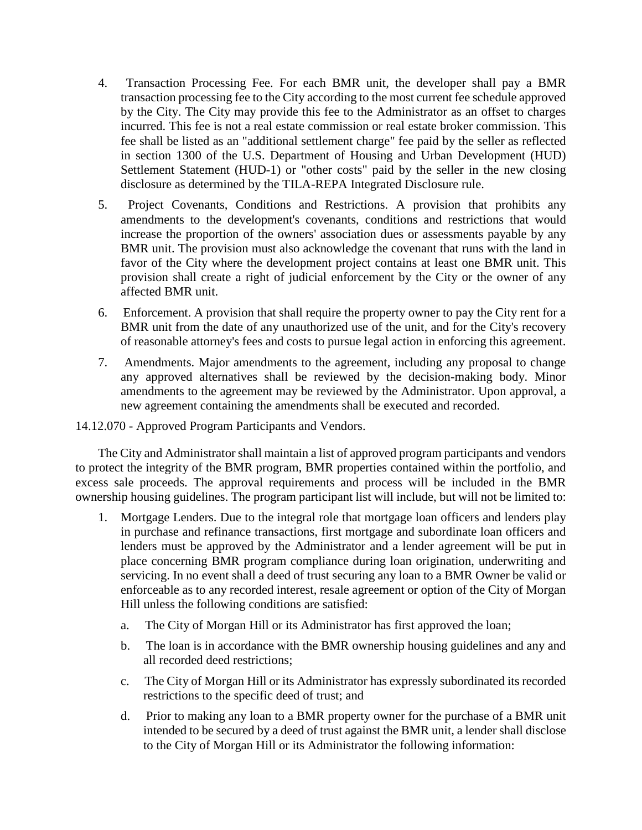- 4. Transaction Processing Fee. For each BMR unit, the developer shall pay a BMR transaction processing fee to the City according to the most current fee schedule approved by the City. The City may provide this fee to the Administrator as an offset to charges incurred. This fee is not a real estate commission or real estate broker commission. This fee shall be listed as an "additional settlement charge" fee paid by the seller as reflected in section 1300 of the U.S. Department of Housing and Urban Development (HUD) Settlement Statement (HUD-1) or "other costs" paid by the seller in the new closing disclosure as determined by the TILA-REPA Integrated Disclosure rule.
- 5. Project Covenants, Conditions and Restrictions. A provision that prohibits any amendments to the development's covenants, conditions and restrictions that would increase the proportion of the owners' association dues or assessments payable by any BMR unit. The provision must also acknowledge the covenant that runs with the land in favor of the City where the development project contains at least one BMR unit. This provision shall create a right of judicial enforcement by the City or the owner of any affected BMR unit.
- 6. Enforcement. A provision that shall require the property owner to pay the City rent for a BMR unit from the date of any unauthorized use of the unit, and for the City's recovery of reasonable attorney's fees and costs to pursue legal action in enforcing this agreement.
- 7. Amendments. Major amendments to the agreement, including any proposal to change any approved alternatives shall be reviewed by the decision-making body. Minor amendments to the agreement may be reviewed by the Administrator. Upon approval, a new agreement containing the amendments shall be executed and recorded.

14.12.070 - Approved Program Participants and Vendors.

The City and Administrator shall maintain a list of approved program participants and vendors to protect the integrity of the BMR program, BMR properties contained within the portfolio, and excess sale proceeds. The approval requirements and process will be included in the BMR ownership housing guidelines. The program participant list will include, but will not be limited to:

- 1. Mortgage Lenders. Due to the integral role that mortgage loan officers and lenders play in purchase and refinance transactions, first mortgage and subordinate loan officers and lenders must be approved by the Administrator and a lender agreement will be put in place concerning BMR program compliance during loan origination, underwriting and servicing. In no event shall a deed of trust securing any loan to a BMR Owner be valid or enforceable as to any recorded interest, resale agreement or option of the City of Morgan Hill unless the following conditions are satisfied:
	- a. The City of Morgan Hill or its Administrator has first approved the loan;
	- b. The loan is in accordance with the BMR ownership housing guidelines and any and all recorded deed restrictions;
	- c. The City of Morgan Hill or its Administrator has expressly subordinated its recorded restrictions to the specific deed of trust; and
	- d. Prior to making any loan to a BMR property owner for the purchase of a BMR unit intended to be secured by a deed of trust against the BMR unit, a lender shall disclose to the City of Morgan Hill or its Administrator the following information: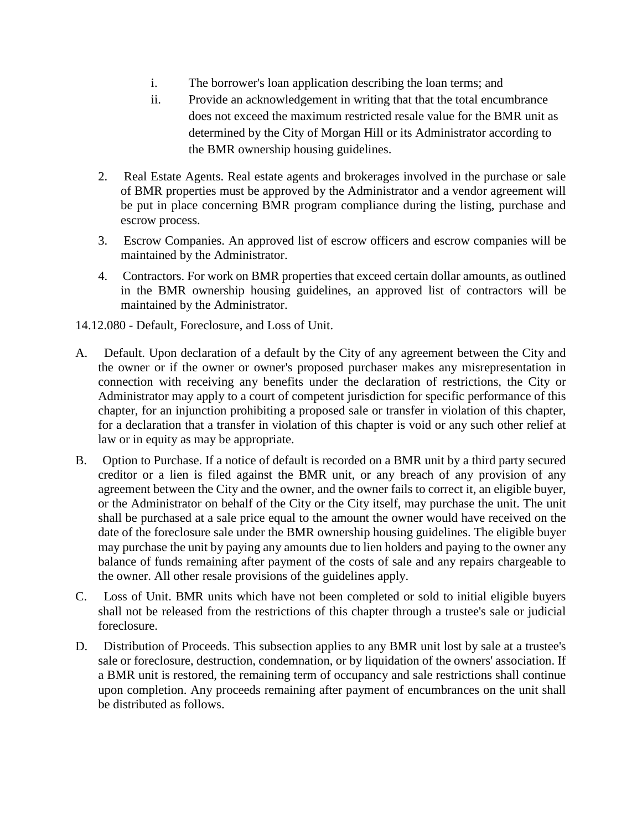- i. The borrower's loan application describing the loan terms; and
- ii. Provide an acknowledgement in writing that that the total encumbrance does not exceed the maximum restricted resale value for the BMR unit as determined by the City of Morgan Hill or its Administrator according to the BMR ownership housing guidelines.
- 2. Real Estate Agents. Real estate agents and brokerages involved in the purchase or sale of BMR properties must be approved by the Administrator and a vendor agreement will be put in place concerning BMR program compliance during the listing, purchase and escrow process.
- 3. Escrow Companies. An approved list of escrow officers and escrow companies will be maintained by the Administrator.
- 4. Contractors. For work on BMR properties that exceed certain dollar amounts, as outlined in the BMR ownership housing guidelines, an approved list of contractors will be maintained by the Administrator.
- 14.12.080 Default, Foreclosure, and Loss of Unit.
- A. Default. Upon declaration of a default by the City of any agreement between the City and the owner or if the owner or owner's proposed purchaser makes any misrepresentation in connection with receiving any benefits under the declaration of restrictions, the City or Administrator may apply to a court of competent jurisdiction for specific performance of this chapter, for an injunction prohibiting a proposed sale or transfer in violation of this chapter, for a declaration that a transfer in violation of this chapter is void or any such other relief at law or in equity as may be appropriate.
- B. Option to Purchase. If a notice of default is recorded on a BMR unit by a third party secured creditor or a lien is filed against the BMR unit, or any breach of any provision of any agreement between the City and the owner, and the owner fails to correct it, an eligible buyer, or the Administrator on behalf of the City or the City itself, may purchase the unit. The unit shall be purchased at a sale price equal to the amount the owner would have received on the date of the foreclosure sale under the BMR ownership housing guidelines. The eligible buyer may purchase the unit by paying any amounts due to lien holders and paying to the owner any balance of funds remaining after payment of the costs of sale and any repairs chargeable to the owner. All other resale provisions of the guidelines apply.
- C. Loss of Unit. BMR units which have not been completed or sold to initial eligible buyers shall not be released from the restrictions of this chapter through a trustee's sale or judicial foreclosure.
- D. Distribution of Proceeds. This subsection applies to any BMR unit lost by sale at a trustee's sale or foreclosure, destruction, condemnation, or by liquidation of the owners' association. If a BMR unit is restored, the remaining term of occupancy and sale restrictions shall continue upon completion. Any proceeds remaining after payment of encumbrances on the unit shall be distributed as follows.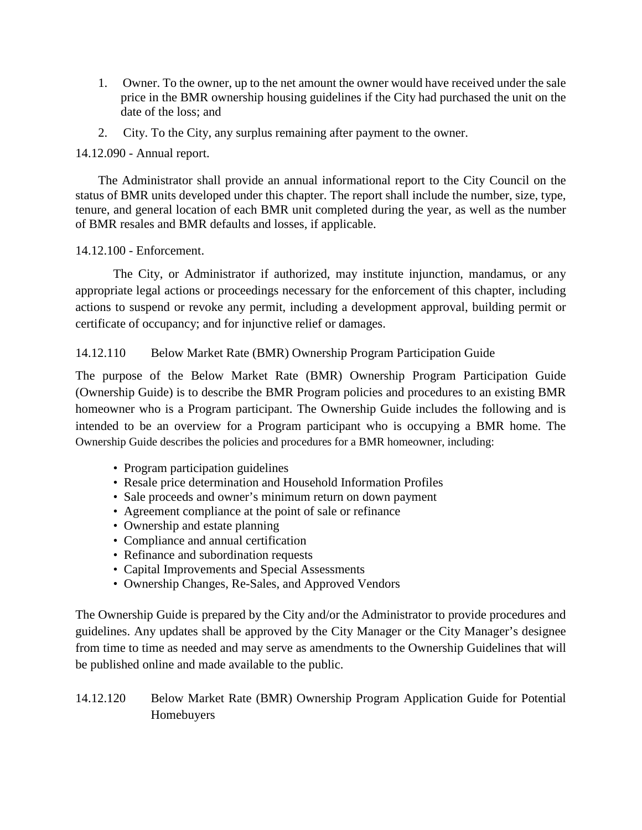- 1. Owner. To the owner, up to the net amount the owner would have received under the sale price in the BMR ownership housing guidelines if the City had purchased the unit on the date of the loss; and
- 2. City. To the City, any surplus remaining after payment to the owner.

### 14.12.090 - Annual report.

The Administrator shall provide an annual informational report to the City Council on the status of BMR units developed under this chapter. The report shall include the number, size, type, tenure, and general location of each BMR unit completed during the year, as well as the number of BMR resales and BMR defaults and losses, if applicable.

### 14.12.100 - Enforcement.

The City, or Administrator if authorized, may institute injunction, mandamus, or any appropriate legal actions or proceedings necessary for the enforcement of this chapter, including actions to suspend or revoke any permit, including a development approval, building permit or certificate of occupancy; and for injunctive relief or damages.

## 14.12.110 Below Market Rate (BMR) Ownership Program Participation Guide

The purpose of the Below Market Rate (BMR) Ownership Program Participation Guide (Ownership Guide) is to describe the BMR Program policies and procedures to an existing BMR homeowner who is a Program participant. The Ownership Guide includes the following and is intended to be an overview for a Program participant who is occupying a BMR home. The Ownership Guide describes the policies and procedures for a BMR homeowner, including:

- Program participation guidelines
- Resale price determination and Household Information Profiles
- Sale proceeds and owner's minimum return on down payment
- Agreement compliance at the point of sale or refinance
- Ownership and estate planning
- Compliance and annual certification
- Refinance and subordination requests
- Capital Improvements and Special Assessments
- Ownership Changes, Re-Sales, and Approved Vendors

The Ownership Guide is prepared by the City and/or the Administrator to provide procedures and guidelines. Any updates shall be approved by the City Manager or the City Manager's designee from time to time as needed and may serve as amendments to the Ownership Guidelines that will be published online and made available to the public.

14.12.120 Below Market Rate (BMR) Ownership Program Application Guide for Potential Homebuyers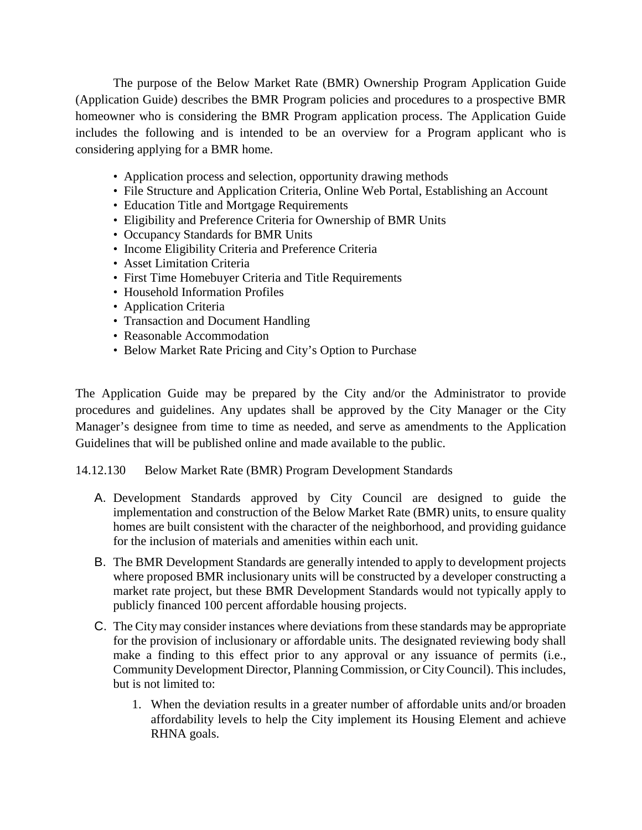The purpose of the Below Market Rate (BMR) Ownership Program Application Guide (Application Guide) describes the BMR Program policies and procedures to a prospective BMR homeowner who is considering the BMR Program application process. The Application Guide includes the following and is intended to be an overview for a Program applicant who is considering applying for a BMR home.

- Application process and selection, opportunity drawing methods
- File Structure and Application Criteria, Online Web Portal, Establishing an Account
- Education Title and Mortgage Requirements
- Eligibility and Preference Criteria for Ownership of BMR Units
- Occupancy Standards for BMR Units
- Income Eligibility Criteria and Preference Criteria
- Asset Limitation Criteria
- First Time Homebuyer Criteria and Title Requirements
- Household Information Profiles
- Application Criteria
- Transaction and Document Handling
- Reasonable Accommodation
- Below Market Rate Pricing and City's Option to Purchase

The Application Guide may be prepared by the City and/or the Administrator to provide procedures and guidelines. Any updates shall be approved by the City Manager or the City Manager's designee from time to time as needed, and serve as amendments to the Application Guidelines that will be published online and made available to the public.

### 14.12.130 Below Market Rate (BMR) Program Development Standards

- A. Development Standards approved by City Council are designed to guide the implementation and construction of the Below Market Rate (BMR) units, to ensure quality homes are built consistent with the character of the neighborhood, and providing guidance for the inclusion of materials and amenities within each unit.
- B. The BMR Development Standards are generally intended to apply to development projects where proposed BMR inclusionary units will be constructed by a developer constructing a market rate project, but these BMR Development Standards would not typically apply to publicly financed 100 percent affordable housing projects.
- C. The City may consider instances where deviations from these standards may be appropriate for the provision of inclusionary or affordable units. The designated reviewing body shall make a finding to this effect prior to any approval or any issuance of permits (i.e., Community Development Director, Planning Commission, or City Council). This includes, but is not limited to:
	- 1. When the deviation results in a greater number of affordable units and/or broaden affordability levels to help the City implement its Housing Element and achieve RHNA goals.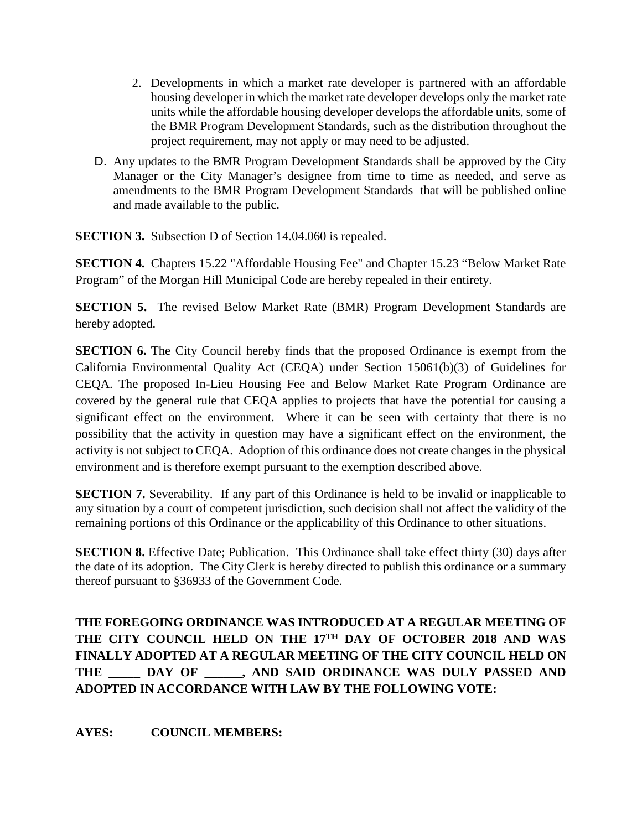- 2. Developments in which a market rate developer is partnered with an affordable housing developer in which the market rate developer develops only the market rate units while the affordable housing developer develops the affordable units, some of the BMR Program Development Standards, such as the distribution throughout the project requirement, may not apply or may need to be adjusted.
- D. Any updates to the BMR Program Development Standards shall be approved by the City Manager or the City Manager's designee from time to time as needed, and serve as amendments to the BMR Program Development Standards that will be published online and made available to the public.

**SECTION 3.** Subsection D of Section 14.04.060 is repealed.

**SECTION 4.** Chapters 15.22 "Affordable Housing Fee" and Chapter 15.23 "Below Market Rate Program" of the Morgan Hill Municipal Code are hereby repealed in their entirety.

**SECTION 5.** The revised Below Market Rate (BMR) Program Development Standards are hereby adopted.

**SECTION 6.** The City Council hereby finds that the proposed Ordinance is exempt from the California Environmental Quality Act (CEQA) under Section 15061(b)(3) of Guidelines for CEQA. The proposed In-Lieu Housing Fee and Below Market Rate Program Ordinance are covered by the general rule that CEQA applies to projects that have the potential for causing a significant effect on the environment. Where it can be seen with certainty that there is no possibility that the activity in question may have a significant effect on the environment, the activity is not subject to CEQA. Adoption of this ordinance does not create changes in the physical environment and is therefore exempt pursuant to the exemption described above.

**SECTION 7.** Severability. If any part of this Ordinance is held to be invalid or inapplicable to any situation by a court of competent jurisdiction, such decision shall not affect the validity of the remaining portions of this Ordinance or the applicability of this Ordinance to other situations.

**SECTION 8.** Effective Date; Publication. This Ordinance shall take effect thirty (30) days after the date of its adoption. The City Clerk is hereby directed to publish this ordinance or a summary thereof pursuant to §36933 of the Government Code.

**THE FOREGOING ORDINANCE WAS INTRODUCED AT A REGULAR MEETING OF THE CITY COUNCIL HELD ON THE 17TH DAY OF OCTOBER 2018 AND WAS FINALLY ADOPTED AT A REGULAR MEETING OF THE CITY COUNCIL HELD ON THE \_\_\_\_\_ DAY OF \_\_\_\_\_\_, AND SAID ORDINANCE WAS DULY PASSED AND ADOPTED IN ACCORDANCE WITH LAW BY THE FOLLOWING VOTE:**

**AYES: COUNCIL MEMBERS:**